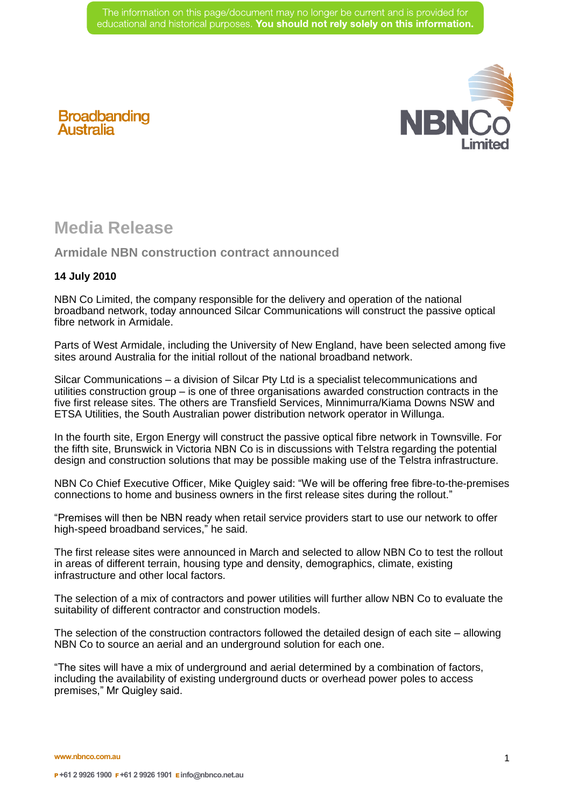

## **Broadbanding**<br>Australia

## **Media Release**

**Armidale NBN construction contract announced** 

## **14 July 2010**

NBN Co Limited, the company responsible for the delivery and operation of the national broadband network, today announced Silcar Communications will construct the passive optical fibre network in Armidale.

Parts of West Armidale, including the University of New England, have been selected among five sites around Australia for the initial rollout of the national broadband network.

Silcar Communications – a division of Silcar Pty Ltd is a specialist telecommunications and utilities construction group – is one of three organisations awarded construction contracts in the five first release sites. The others are Transfield Services, Minnimurra/Kiama Downs NSW and ETSA Utilities, the South Australian power distribution network operator in Willunga.

In the fourth site, Ergon Energy will construct the passive optical fibre network in Townsville. For the fifth site, Brunswick in Victoria NBN Co is in discussions with Telstra regarding the potential design and construction solutions that may be possible making use of the Telstra infrastructure.

NBN Co Chief Executive Officer, Mike Quigley said: "We will be offering free fibre-to-the-premises connections to home and business owners in the first release sites during the rollout."

"Premises will then be NBN ready when retail service providers start to use our network to offer high-speed broadband services," he said.

The first release sites were announced in March and selected to allow NBN Co to test the rollout in areas of different terrain, housing type and density, demographics, climate, existing infrastructure and other local factors.

The selection of a mix of contractors and power utilities will further allow NBN Co to evaluate the suitability of different contractor and construction models.

The selection of the construction contractors followed the detailed design of each site – allowing NBN Co to source an aerial and an underground solution for each one.

"The sites will have a mix of underground and aerial determined by a combination of factors, including the availability of existing underground ducts or overhead power poles to access premises," Mr Quigley said.

**www.nbnco.com.au**